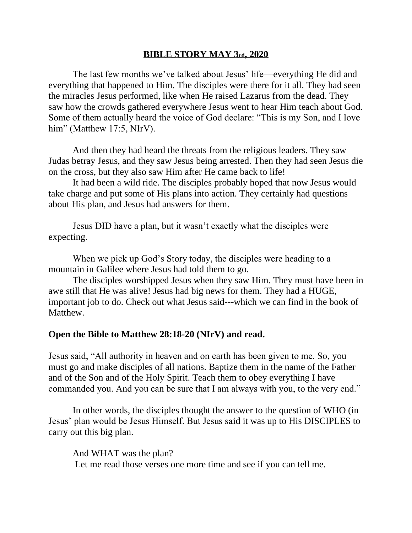#### **BIBLE STORY MAY 3rd, 2020**

The last few months we've talked about Jesus' life—everything He did and everything that happened to Him. The disciples were there for it all. They had seen the miracles Jesus performed, like when He raised Lazarus from the dead. They saw how the crowds gathered everywhere Jesus went to hear Him teach about God. Some of them actually heard the voice of God declare: "This is my Son, and I love him" (Matthew 17:5, NIrV).

And then they had heard the threats from the religious leaders. They saw Judas betray Jesus, and they saw Jesus being arrested. Then they had seen Jesus die on the cross, but they also saw Him after He came back to life!

It had been a wild ride. The disciples probably hoped that now Jesus would take charge and put some of His plans into action. They certainly had questions about His plan, and Jesus had answers for them.

Jesus DID have a plan, but it wasn't exactly what the disciples were expecting.

When we pick up God's Story today, the disciples were heading to a mountain in Galilee where Jesus had told them to go.

The disciples worshipped Jesus when they saw Him. They must have been in awe still that He was alive! Jesus had big news for them. They had a HUGE, important job to do. Check out what Jesus said---which we can find in the book of Matthew.

#### **Open the Bible to Matthew 28:18-20 (NIrV) and read.**

Jesus said, "All authority in heaven and on earth has been given to me. So, you must go and make disciples of all nations. Baptize them in the name of the Father and of the Son and of the Holy Spirit. Teach them to obey everything I have commanded you. And you can be sure that I am always with you, to the very end."

In other words, the disciples thought the answer to the question of WHO (in Jesus' plan would be Jesus Himself. But Jesus said it was up to His DISCIPLES to carry out this big plan.

And WHAT was the plan? Let me read those verses one more time and see if you can tell me.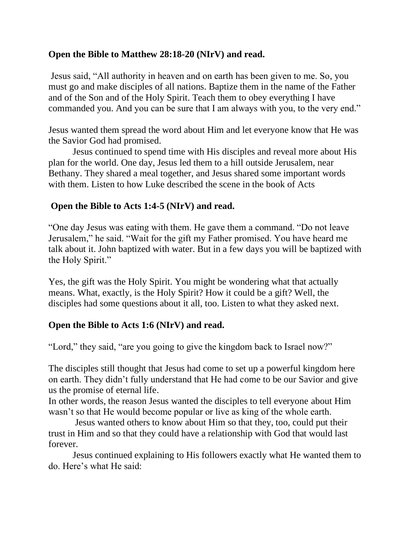# **Open the Bible to Matthew 28:18-20 (NIrV) and read.**

Jesus said, "All authority in heaven and on earth has been given to me. So, you must go and make disciples of all nations. Baptize them in the name of the Father and of the Son and of the Holy Spirit. Teach them to obey everything I have commanded you. And you can be sure that I am always with you, to the very end."

Jesus wanted them spread the word about Him and let everyone know that He was the Savior God had promised.

Jesus continued to spend time with His disciples and reveal more about His plan for the world. One day, Jesus led them to a hill outside Jerusalem, near Bethany. They shared a meal together, and Jesus shared some important words with them. Listen to how Luke described the scene in the book of Acts

## **Open the Bible to Acts 1:4-5 (NIrV) and read.**

"One day Jesus was eating with them. He gave them a command. "Do not leave Jerusalem," he said. "Wait for the gift my Father promised. You have heard me talk about it. John baptized with water. But in a few days you will be baptized with the Holy Spirit."

Yes, the gift was the Holy Spirit. You might be wondering what that actually means. What, exactly, is the Holy Spirit? How it could be a gift? Well, the disciples had some questions about it all, too. Listen to what they asked next.

# **Open the Bible to Acts 1:6 (NIrV) and read.**

"Lord," they said, "are you going to give the kingdom back to Israel now?"

The disciples still thought that Jesus had come to set up a powerful kingdom here on earth. They didn't fully understand that He had come to be our Savior and give us the promise of eternal life.

In other words, the reason Jesus wanted the disciples to tell everyone about Him wasn't so that He would become popular or live as king of the whole earth.

Jesus wanted others to know about Him so that they, too, could put their trust in Him and so that they could have a relationship with God that would last forever.

Jesus continued explaining to His followers exactly what He wanted them to do. Here's what He said: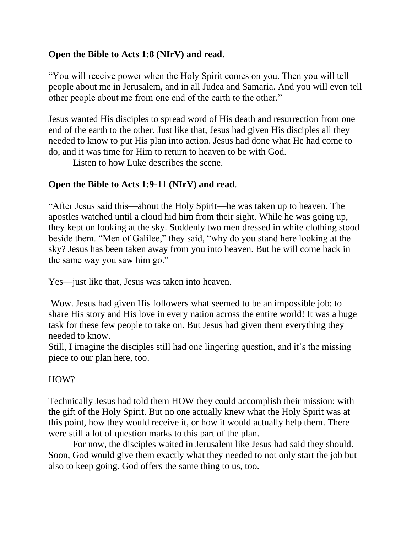## **Open the Bible to Acts 1:8 (NIrV) and read**.

"You will receive power when the Holy Spirit comes on you. Then you will tell people about me in Jerusalem, and in all Judea and Samaria. And you will even tell other people about me from one end of the earth to the other."

Jesus wanted His disciples to spread word of His death and resurrection from one end of the earth to the other. Just like that, Jesus had given His disciples all they needed to know to put His plan into action. Jesus had done what He had come to do, and it was time for Him to return to heaven to be with God.

Listen to how Luke describes the scene.

## **Open the Bible to Acts 1:9-11 (NIrV) and read**.

"After Jesus said this—about the Holy Spirit—he was taken up to heaven. The apostles watched until a cloud hid him from their sight. While he was going up, they kept on looking at the sky. Suddenly two men dressed in white clothing stood beside them. "Men of Galilee," they said, "why do you stand here looking at the sky? Jesus has been taken away from you into heaven. But he will come back in the same way you saw him go."

Yes—just like that, Jesus was taken into heaven.

Wow. Jesus had given His followers what seemed to be an impossible job: to share His story and His love in every nation across the entire world! It was a huge task for these few people to take on. But Jesus had given them everything they needed to know.

Still, I imagine the disciples still had one lingering question, and it's the missing piece to our plan here, too.

#### HOW?

Technically Jesus had told them HOW they could accomplish their mission: with the gift of the Holy Spirit. But no one actually knew what the Holy Spirit was at this point, how they would receive it, or how it would actually help them. There were still a lot of question marks to this part of the plan.

For now, the disciples waited in Jerusalem like Jesus had said they should. Soon, God would give them exactly what they needed to not only start the job but also to keep going. God offers the same thing to us, too.